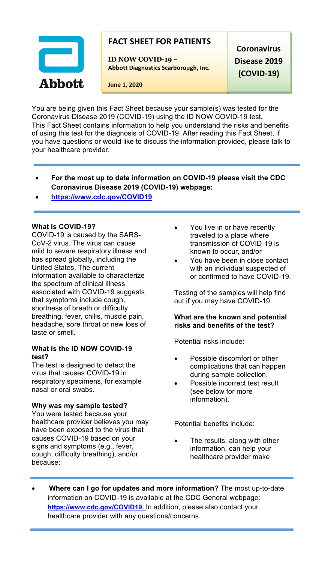

# **FACT SHEET FOR PATIENTS**

**ID NOW COVID-19 – Abbott Diagnostics Scarborough, Inc.**

**Coronavirus Disease 2019 (COVID-19)**

**June 1, 2020**

You are being given this Fact Sheet because your sample(s) was tested for the Coronavirus Disease 2019 (COVID-19) using the ID NOW COVID-19 test. This Fact Sheet contains information to help you understand the risks and benefits of using this test for the diagnosis of COVID-19. After reading this Fact Sheet, if you have questions or would like to discuss the information provided, please talk to your healthcare provider.

- **For the most up to date information on COVID-19 please visit the CDC Coronavirus Disease 2019 (COVID-19) webpage:**
- **https://www.cdc.gov/COVID19**

## **What is COVID-19?**

COVID-19 is caused by the SARS-CoV-2 virus. The virus can cause mild to severe respiratory illness and has spread globally, including the United States. The current information available to characterize the spectrum of clinical illness associated with COVID-19 suggests that symptoms include cough, shortness of breath or difficulty breathing, fever, chills, muscle pain, headache, sore throat or new loss of taste or smell.

## **What is the ID NOW COVID-19 test?**

The test is designed to detect the virus that causes COVID-19 in respiratory specimens, for example nasal or oral swabs.

### **Why was my sample tested?**

You were tested because your healthcare provider believes you may have been exposed to the virus that causes COVID-19 based on your signs and symptoms (e.g., fever, cough, difficulty breathing), and/or because:

- You live in or have recently traveled to a place where transmission of COVID-19 is known to occur, and/or
- You have been in close contact with an individual suspected of or confirmed to have COVID-19.

Testing of the samples will help find out if you may have COVID-19.

## **What are the known and potential risks and benefits of the test?**

Potential risks include:

- Possible discomfort or other complications that can happen during sample collection.
- Possible incorrect test result (see below for more information).

Potential benefits include:

- The results, along with other information, can help your healthcare provider make
- **Where can I go for updates and more information?** The most up-to-date information on COVID-19 is available at the CDC General webpage: **https://www.cdc.gov/COVID19.** In addition, please also contact your healthcare provider with any questions/concerns.